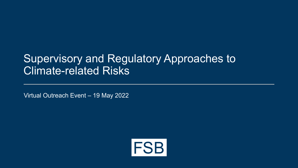# Supervisory and Regulatory Approaches to Climate-related Risks

Virtual Outreach Event – 19 May 2022

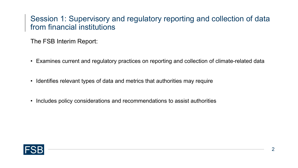### Session 1: Supervisory and regulatory reporting and collection of data from financial institutions

The FSB Interim Report:

- Examines current and regulatory practices on reporting and collection of climate-related data
- Identifies relevant types of data and metrics that authorities may require
- Includes policy considerations and recommendations to assist authorities

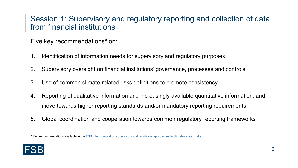## Session 1: Supervisory and regulatory reporting and collection of data from financial institutions

#### Five key recommendations\* on:

- 1. Identification of information needs for supervisory and regulatory purposes
- 2. Supervisory oversight on financial institutions' governance, processes and controls
- 3. Use of common climate-related risks definitions to promote consistency
- 4. Reporting of qualitative information and increasingly available quantitative information, and move towards higher reporting standards and/or mandatory reporting requirements
- 5. Global coordination and cooperation towards common regulatory reporting frameworks

<sup>\*</sup> Full recommendations available in the [FSB interim report on supervisory and regulatory approaches to climate-related risks](https://www.fsb.org/wp-content/uploads/P290422.pdf)

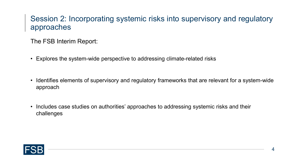# Session 2: Incorporating systemic risks into supervisory and regulatory approaches

The FSB Interim Report:

- Explores the system-wide perspective to addressing climate-related risks
- Identifies elements of supervisory and regulatory frameworks that are relevant for a system-wide approach
- Includes case studies on authorities' approaches to addressing systemic risks and their challenges

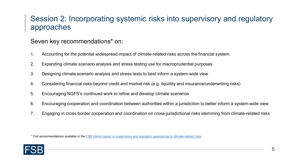# Session 2: Incorporating systemic risks into supervisory and regulatory approaches

#### Seven key recommendations\* on:

- 1. Accounting for the potential widespread impact of climate-related risks across the financial system
- 2. Expanding climate scenario analysis and stress testing use for macroprudential purposes
- 3. Designing climate scenario analysis and stress tests to best inform a system-wide view
- 4. Considering financial risks beyond credit and market risk (e.g. liquidity and insurance/underwriting risks)
- 5. Encouraging NGFS's continued work to refine and develop climate scenarios
- 6. Encouraging cooperation and coordination between authorities within a jurisdiction to better inform a system-wide view
- 7. Engaging in cross-border cooperation and coordination on cross-jurisdictional risks stemming from climate-related risks

<sup>\*</sup> Full recommendations available in the [FSB interim report on supervisory and regulatory approaches to climate-related risks](https://www.fsb.org/wp-content/uploads/P290422.pdf)